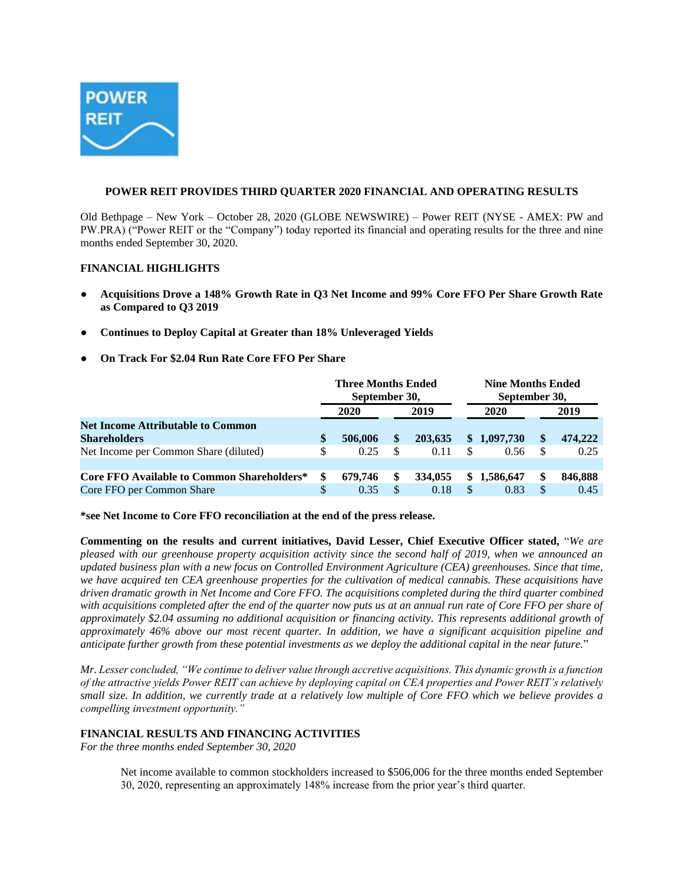

### **POWER REIT PROVIDES THIRD QUARTER 2020 FINANCIAL AND OPERATING RESULTS**

Old Bethpage – New York – October 28, 2020 (GLOBE NEWSWIRE) – Power REIT (NYSE - AMEX: PW and PW.PRA) ("Power REIT or the "Company") today reported its financial and operating results for the three and nine months ended September 30, 2020.

### **FINANCIAL HIGHLIGHTS**

- **Acquisitions Drove a 148% Growth Rate in Q3 Net Income and 99% Core FFO Per Share Growth Rate as Compared to Q3 2019**
- **Continues to Deploy Capital at Greater than 18% Unleveraged Yields**
- **On Track For \$2.04 Run Rate Core FFO Per Share**

|                                            | <b>Three Months Ended</b><br>September 30, |         |      |         | <b>Nine Months Ended</b><br>September 30, |             |      |         |
|--------------------------------------------|--------------------------------------------|---------|------|---------|-------------------------------------------|-------------|------|---------|
|                                            | 2020                                       |         | 2019 |         | 2020                                      |             | 2019 |         |
| <b>Net Income Attributable to Common</b>   |                                            |         |      |         |                                           |             |      |         |
| <b>Shareholders</b>                        | \$                                         | 506,006 |      | 203.635 |                                           | \$1,097,730 | \$   | 474,222 |
| Net Income per Common Share (diluted)      | \$                                         | 0.25    |      | 0.11    |                                           | 0.56        | S    | 0.25    |
|                                            |                                            |         |      |         |                                           |             |      |         |
| Core FFO Available to Common Shareholders* |                                            | 679,746 |      | 334,055 |                                           | \$1,586,647 | \$   | 846,888 |
| Core FFO per Common Share                  | S                                          | 0.35    |      | 0.18    |                                           | 0.83        | S    | 0.45    |

**\*see Net Income to Core FFO reconciliation at the end of the press release.**

*C***ommenting on the results and current initiatives, David Lesser, Chief Executive Officer stated,** "*We are pleased with our greenhouse property acquisition activity since the second half of 2019, when we announced an updated business plan with a new focus on Controlled Environment Agriculture (CEA) greenhouses. Since that time, we have acquired ten CEA greenhouse properties for the cultivation of medical cannabis. These acquisitions have driven dramatic growth in Net Income and Core FFO. The acquisitions completed during the third quarter combined*  with acquisitions completed after the end of the quarter now puts us at an annual run rate of Core FFO per share of *approximately \$2.04 assuming no additional acquisition or financing activity. This represents additional growth of approximately 46% above our most recent quarter. In addition, we have a significant acquisition pipeline and anticipate further growth from these potential investments as we deploy the additional capital in the near future.*"

*Mr. Lesser concluded, "We continue to deliver value through accretive acquisitions. This dynamic growth is a function of the attractive yields Power REIT can achieve by deploying capital on CEA properties and Power REIT's relatively small size. In addition, we currently trade at a relatively low multiple of Core FFO which we believe provides a compelling investment opportunity."*

#### **FINANCIAL RESULTS AND FINANCING ACTIVITIES**

*For the three months ended September 30, 2020*

Net income available to common stockholders increased to \$506,006 for the three months ended September 30, 2020, representing an approximately 148% increase from the prior year's third quarter.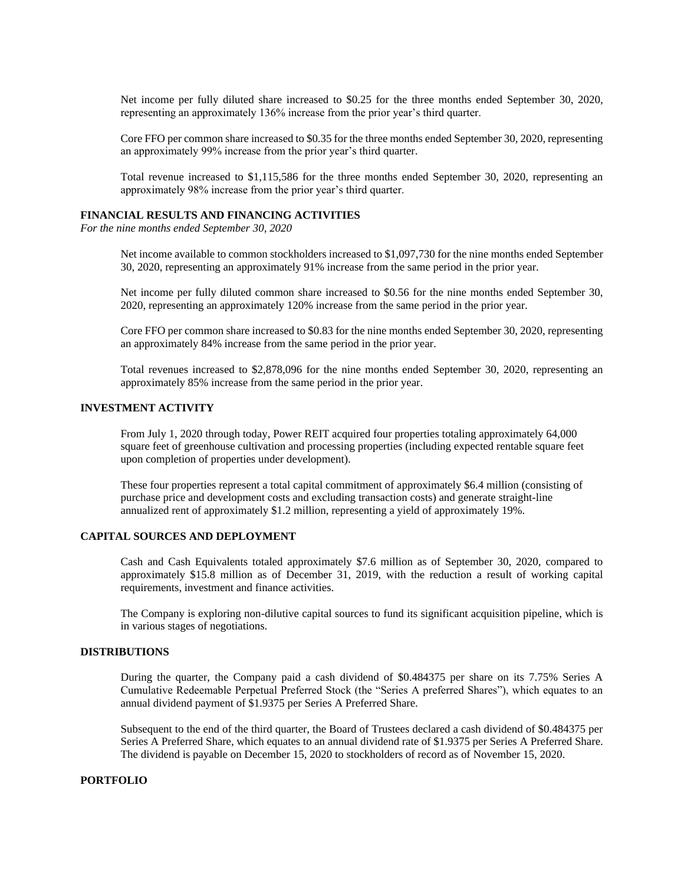Net income per fully diluted share increased to \$0.25 for the three months ended September 30, 2020, representing an approximately 136% increase from the prior year's third quarter.

Core FFO per common share increased to \$0.35 for the three months ended September 30, 2020, representing an approximately 99% increase from the prior year's third quarter.

Total revenue increased to \$1,115,586 for the three months ended September 30, 2020, representing an approximately 98% increase from the prior year's third quarter.

#### **FINANCIAL RESULTS AND FINANCING ACTIVITIES**

*For the nine months ended September 30, 2020*

Net income available to common stockholders increased to \$1,097,730 for the nine months ended September 30, 2020, representing an approximately 91% increase from the same period in the prior year.

Net income per fully diluted common share increased to \$0.56 for the nine months ended September 30, 2020, representing an approximately 120% increase from the same period in the prior year.

Core FFO per common share increased to \$0.83 for the nine months ended September 30, 2020, representing an approximately 84% increase from the same period in the prior year.

Total revenues increased to \$2,878,096 for the nine months ended September 30, 2020, representing an approximately 85% increase from the same period in the prior year.

### **INVESTMENT ACTIVITY**

From July 1, 2020 through today, Power REIT acquired four properties totaling approximately 64,000 square feet of greenhouse cultivation and processing properties (including expected rentable square feet upon completion of properties under development).

These four properties represent a total capital commitment of approximately \$6.4 million (consisting of purchase price and development costs and excluding transaction costs) and generate straight-line annualized rent of approximately \$1.2 million, representing a yield of approximately 19%.

#### **CAPITAL SOURCES AND DEPLOYMENT**

Cash and Cash Equivalents totaled approximately \$7.6 million as of September 30, 2020, compared to approximately \$15.8 million as of December 31, 2019, with the reduction a result of working capital requirements, investment and finance activities.

The Company is exploring non-dilutive capital sources to fund its significant acquisition pipeline, which is in various stages of negotiations.

#### **DISTRIBUTIONS**

During the quarter, the Company paid a cash dividend of \$0.484375 per share on its 7.75% Series A Cumulative Redeemable Perpetual Preferred Stock (the "Series A preferred Shares"), which equates to an annual dividend payment of \$1.9375 per Series A Preferred Share.

Subsequent to the end of the third quarter, the Board of Trustees declared a cash dividend of \$0.484375 per Series A Preferred Share, which equates to an annual dividend rate of \$1.9375 per Series A Preferred Share. The dividend is payable on December 15, 2020 to stockholders of record as of November 15, 2020.

## **PORTFOLIO**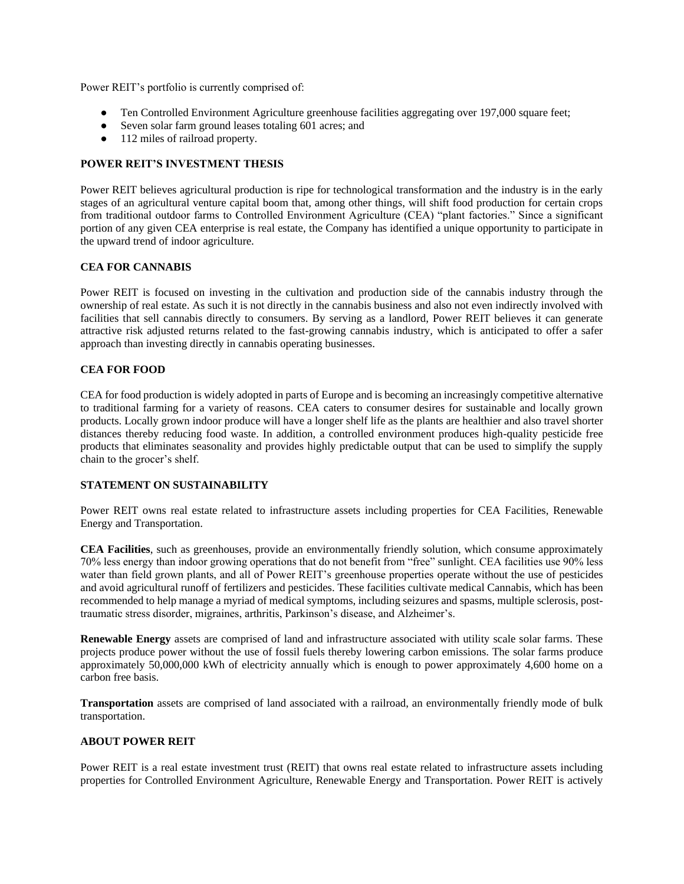Power REIT's portfolio is currently comprised of:

- Ten Controlled Environment Agriculture greenhouse facilities aggregating over 197,000 square feet;
- Seven solar farm ground leases totaling 601 acres; and
- 112 miles of railroad property.

## **POWER REIT'S INVESTMENT THESIS**

Power REIT believes agricultural production is ripe for technological transformation and the industry is in the early stages of an agricultural venture capital boom that, among other things, will shift food production for certain crops from traditional outdoor farms to Controlled Environment Agriculture (CEA) "plant factories." Since a significant portion of any given CEA enterprise is real estate, the Company has identified a unique opportunity to participate in the upward trend of indoor agriculture.

## **CEA FOR CANNABIS**

Power REIT is focused on investing in the cultivation and production side of the cannabis industry through the ownership of real estate. As such it is not directly in the cannabis business and also not even indirectly involved with facilities that sell cannabis directly to consumers. By serving as a landlord, Power REIT believes it can generate attractive risk adjusted returns related to the fast-growing cannabis industry, which is anticipated to offer a safer approach than investing directly in cannabis operating businesses.

## **CEA FOR FOOD**

CEA for food production is widely adopted in parts of Europe and is becoming an increasingly competitive alternative to traditional farming for a variety of reasons. CEA caters to consumer desires for sustainable and locally grown products. Locally grown indoor produce will have a longer shelf life as the plants are healthier and also travel shorter distances thereby reducing food waste. In addition, a controlled environment produces high-quality pesticide free products that eliminates seasonality and provides highly predictable output that can be used to simplify the supply chain to the grocer's shelf.

## **STATEMENT ON SUSTAINABILITY**

Power REIT owns real estate related to infrastructure assets including properties for CEA Facilities, Renewable Energy and Transportation.

**CEA Facilities**, such as greenhouses, provide an environmentally friendly solution, which consume approximately 70% less energy than indoor growing operations that do not benefit from "free" sunlight. CEA facilities use 90% less water than field grown plants, and all of Power REIT's greenhouse properties operate without the use of pesticides and avoid agricultural runoff of fertilizers and pesticides. These facilities cultivate medical Cannabis, which has been recommended to help manage a myriad of medical symptoms, including seizures and spasms, multiple sclerosis, posttraumatic stress disorder, migraines, arthritis, Parkinson's disease, and Alzheimer's.

**Renewable Energy** assets are comprised of land and infrastructure associated with utility scale solar farms. These projects produce power without the use of fossil fuels thereby lowering carbon emissions. The solar farms produce approximately 50,000,000 kWh of electricity annually which is enough to power approximately 4,600 home on a carbon free basis.

**Transportation** assets are comprised of land associated with a railroad, an environmentally friendly mode of bulk transportation.

## **ABOUT POWER REIT**

Power REIT is a real estate investment trust (REIT) that owns real estate related to infrastructure assets including properties for Controlled Environment Agriculture, Renewable Energy and Transportation. Power REIT is actively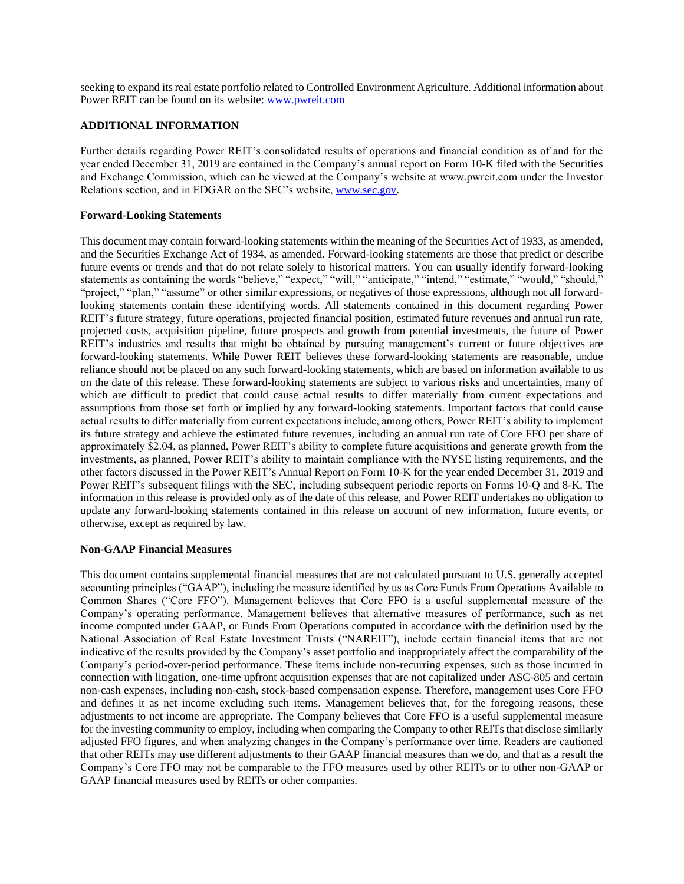seeking to expand its real estate portfolio related to Controlled Environment Agriculture. Additional information about Power REIT can be found on its website: [www.pwreit.com](http://www.pwreit.com/)

## **ADDITIONAL INFORMATION**

Further details regarding Power REIT's consolidated results of operations and financial condition as of and for the year ended December 31, 2019 are contained in the Company's annual report on Form 10-K filed with the Securities and Exchange Commission, which can be viewed at the Company's website at www.pwreit.com under the Investor Relations section, and in EDGAR on the SEC's website[, www.sec.gov.](http://www.sec.gov/)

#### **Forward-Looking Statements**

This document may contain forward-looking statements within the meaning of the Securities Act of 1933, as amended, and the Securities Exchange Act of 1934, as amended. Forward-looking statements are those that predict or describe future events or trends and that do not relate solely to historical matters. You can usually identify forward-looking statements as containing the words "believe," "expect," "will," "anticipate," "intend," "estimate," "would," "should," "project," "plan," "assume" or other similar expressions, or negatives of those expressions, although not all forwardlooking statements contain these identifying words. All statements contained in this document regarding Power REIT's future strategy, future operations, projected financial position, estimated future revenues and annual run rate, projected costs, acquisition pipeline, future prospects and growth from potential investments, the future of Power REIT's industries and results that might be obtained by pursuing management's current or future objectives are forward-looking statements. While Power REIT believes these forward-looking statements are reasonable, undue reliance should not be placed on any such forward-looking statements, which are based on information available to us on the date of this release. These forward-looking statements are subject to various risks and uncertainties, many of which are difficult to predict that could cause actual results to differ materially from current expectations and assumptions from those set forth or implied by any forward-looking statements. Important factors that could cause actual results to differ materially from current expectations include, among others, Power REIT's ability to implement its future strategy and achieve the estimated future revenues, including an annual run rate of Core FFO per share of approximately \$2.04, as planned, Power REIT's ability to complete future acquisitions and generate growth from the investments, as planned, Power REIT's ability to maintain compliance with the NYSE listing requirements, and the other factors discussed in the Power REIT's Annual Report on Form 10-K for the year ended December 31, 2019 and Power REIT's subsequent filings with the SEC, including subsequent periodic reports on Forms 10-Q and 8-K. The information in this release is provided only as of the date of this release, and Power REIT undertakes no obligation to update any forward-looking statements contained in this release on account of new information, future events, or otherwise, except as required by law.

#### **Non-GAAP Financial Measures**

This document contains supplemental financial measures that are not calculated pursuant to U.S. generally accepted accounting principles ("GAAP"), including the measure identified by us as Core Funds From Operations Available to Common Shares ("Core FFO"). Management believes that Core FFO is a useful supplemental measure of the Company's operating performance. Management believes that alternative measures of performance, such as net income computed under GAAP, or Funds From Operations computed in accordance with the definition used by the National Association of Real Estate Investment Trusts ("NAREIT"), include certain financial items that are not indicative of the results provided by the Company's asset portfolio and inappropriately affect the comparability of the Company's period-over-period performance. These items include non-recurring expenses, such as those incurred in connection with litigation, one-time upfront acquisition expenses that are not capitalized under ASC-805 and certain non-cash expenses, including non-cash, stock-based compensation expense. Therefore, management uses Core FFO and defines it as net income excluding such items. Management believes that, for the foregoing reasons, these adjustments to net income are appropriate. The Company believes that Core FFO is a useful supplemental measure for the investing community to employ, including when comparing the Company to other REITs that disclose similarly adjusted FFO figures, and when analyzing changes in the Company's performance over time. Readers are cautioned that other REITs may use different adjustments to their GAAP financial measures than we do, and that as a result the Company's Core FFO may not be comparable to the FFO measures used by other REITs or to other non-GAAP or GAAP financial measures used by REITs or other companies.